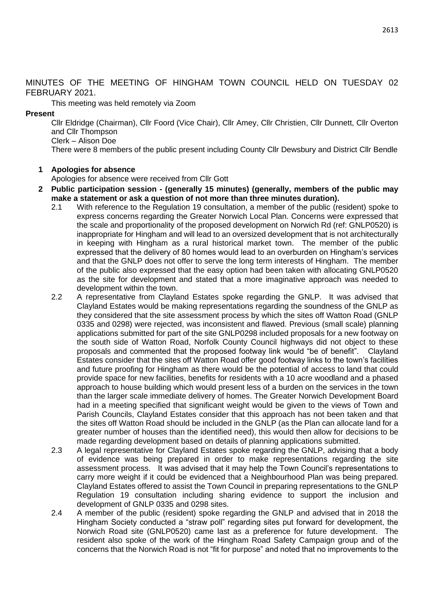MINUTES OF THE MEETING OF HINGHAM TOWN COUNCIL HELD ON TUESDAY 02 FEBRUARY 2021.

This meeting was held remotely via Zoom

### **Present**

Cllr Eldridge (Chairman), Cllr Foord (Vice Chair), Cllr Amey, Cllr Christien, Cllr Dunnett, Cllr Overton and Cllr Thompson Clerk – Alison Doe

There were 8 members of the public present including County Cllr Dewsbury and District Cllr Bendle

### **1 Apologies for absence**

Apologies for absence were received from Cllr Gott

- **2 Public participation session - (generally 15 minutes) (generally, members of the public may make a statement or ask a question of not more than three minutes duration).**
	- 2.1 With reference to the Regulation 19 consultation, a member of the public (resident) spoke to express concerns regarding the Greater Norwich Local Plan. Concerns were expressed that the scale and proportionality of the proposed development on Norwich Rd (ref: GNLP0520) is inappropriate for Hingham and will lead to an oversized development that is not architecturally in keeping with Hingham as a rural historical market town. The member of the public expressed that the delivery of 80 homes would lead to an overburden on Hingham's services and that the GNLP does not offer to serve the long term interests of Hingham. The member of the public also expressed that the easy option had been taken with allocating GNLP0520 as the site for development and stated that a more imaginative approach was needed to development within the town.
	- 2.2 A representative from Clayland Estates spoke regarding the GNLP. It was advised that Clayland Estates would be making representations regarding the soundness of the GNLP as they considered that the site assessment process by which the sites off Watton Road (GNLP 0335 and 0298) were rejected, was inconsistent and flawed. Previous (small scale) planning applications submitted for part of the site GNLP0298 included proposals for a new footway on the south side of Watton Road, Norfolk County Council highways did not object to these proposals and commented that the proposed footway link would "be of benefit". Clayland Estates consider that the sites off Watton Road offer good footway links to the town's facilities and future proofing for Hingham as there would be the potential of access to land that could provide space for new facilities, benefits for residents with a 10 acre woodland and a phased approach to house building which would present less of a burden on the services in the town than the larger scale immediate delivery of homes. The Greater Norwich Development Board had in a meeting specified that significant weight would be given to the views of Town and Parish Councils, Clayland Estates consider that this approach has not been taken and that the sites off Watton Road should be included in the GNLP (as the Plan can allocate land for a greater number of houses than the identified need), this would then allow for decisions to be made regarding development based on details of planning applications submitted.
	- 2.3 A legal representative for Clayland Estates spoke regarding the GNLP, advising that a body of evidence was being prepared in order to make representations regarding the site assessment process. It was advised that it may help the Town Council's representations to carry more weight if it could be evidenced that a Neighbourhood Plan was being prepared. Clayland Estates offered to assist the Town Council in preparing representations to the GNLP Regulation 19 consultation including sharing evidence to support the inclusion and development of GNLP 0335 and 0298 sites.
	- 2.4 A member of the public (resident) spoke regarding the GNLP and advised that in 2018 the Hingham Society conducted a "straw poll" regarding sites put forward for development, the Norwich Road site (GNLP0520) came last as a preference for future development. The resident also spoke of the work of the Hingham Road Safety Campaign group and of the concerns that the Norwich Road is not "fit for purpose" and noted that no improvements to the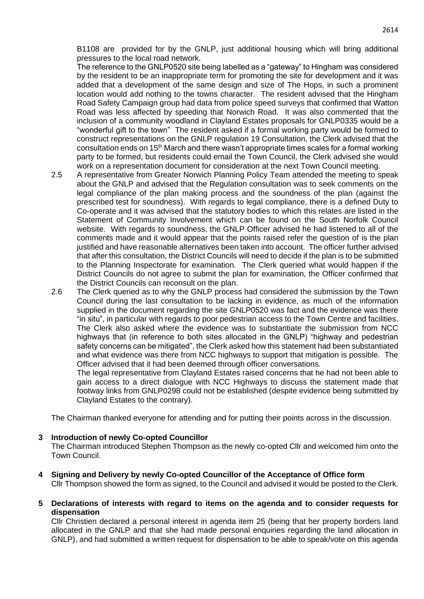B1108 are provided for by the GNLP, just additional housing which will bring additional pressures to the local road network.

The reference to the GNLP0520 site being labelled as a "gateway" to Hingham was considered by the resident to be an inappropriate term for promoting the site for development and it was added that a development of the same design and size of The Hops, in such a prominent location would add nothing to the towns character. The resident advised that the Hingham Road Safety Campaign group had data from police speed surveys that confirmed that Watton Road was less affected by speeding that Norwich Road. It was also commented that the inclusion of a community woodland in Clayland Estates proposals for GNLP0335 would be a "wonderful gift to the town" The resident asked if a formal working party would be formed to construct representations on the GNLP regulation 19 Consultation, the Clerk advised that the consultation ends on 15th March and there wasn't appropriate times scales for a formal working party to be formed, but residents could email the Town Council, the Clerk advised she would work on a representation document for consideration at the next Town Council meeting.

- 2.5 A representative from Greater Norwich Planning Policy Team attended the meeting to speak about the GNLP and advised that the Regulation consultation was to seek comments on the legal compliance of the plan making process and the soundness of the plan (against the prescribed test for soundness). With regards to legal compliance, there is a defined Duty to Co-operate and it was advised that the statutory bodies to which this relates are listed in the Statement of Community Involvement which can be found on the South Norfolk Council website. With regards to soundness, the GNLP Officer advised he had listened to all of the comments made and it would appear that the points raised refer the question of is the plan justified and have reasonable alternatives been taken into account. The officer further advised that after this consultation, the District Councils will need to decide if the plan is to be submitted to the Planning Inspectorate for examination. The Clerk queried what would happen if the District Councils do not agree to submit the plan for examination, the Officer confirmed that the District Councils can reconsult on the plan.
- 2.6 The Clerk queried as to why the GNLP process had considered the submission by the Town Council during the last consultation to be lacking in evidence, as much of the information supplied in the document regarding the site GNLP0520 was fact and the evidence was there "in situ", in particular with regards to poor pedestrian access to the Town Centre and facilities. The Clerk also asked where the evidence was to substantiate the submission from NCC highways that (in reference to both sites allocated in the GNLP) "highway and pedestrian safety concerns can be mitigated", the Clerk asked how this statement had been substantiated and what evidence was there from NCC highways to support that mitigation is possible. The Officer advised that it had been deemed through officer conversations.

The legal representative from Clayland Estates raised concerns that he had not been able to gain access to a direct dialogue with NCC Highways to discuss the statement made that footway links from GNLP0298 could not be established (despite evidence being submitted by Clayland Estates to the contrary).

The Chairman thanked everyone for attending and for putting their points across in the discussion.

#### **3 Introduction of newly Co-opted Councillor**

The Chairman introduced Stephen Thompson as the newly co-opted Cllr and welcomed him onto the Town Council.

- **4 Signing and Delivery by newly Co-opted Councillor of the Acceptance of Office form** Cllr Thompson showed the form as signed, to the Council and advised it would be posted to the Clerk.
- **5 Declarations of interests with regard to items on the agenda and to consider requests for dispensation**

Cllr Christien declared a personal interest in agenda item 25 (being that her property borders land allocated in the GNLP and that she had made personal enquiries regarding the land allocation in GNLP), and had submitted a written request for dispensation to be able to speak/vote on this agenda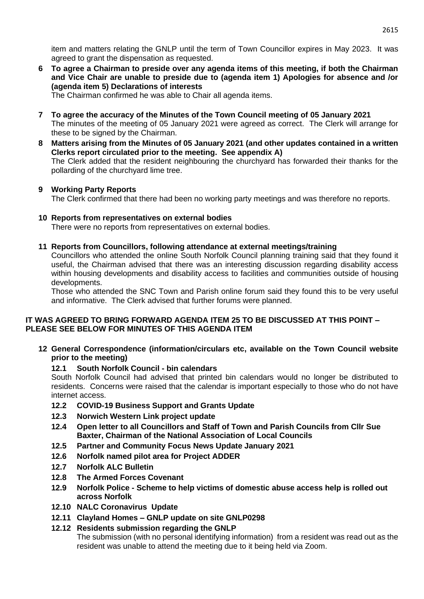item and matters relating the GNLP until the term of Town Councillor expires in May 2023. It was agreed to grant the dispensation as requested.

**6 To agree a Chairman to preside over any agenda items of this meeting, if both the Chairman and Vice Chair are unable to preside due to (agenda item 1) Apologies for absence and /or (agenda item 5) Declarations of interests**

The Chairman confirmed he was able to Chair all agenda items.

- **7 To agree the accuracy of the Minutes of the Town Council meeting of 05 January 2021** The minutes of the meeting of 05 January 2021 were agreed as correct. The Clerk will arrange for these to be signed by the Chairman.
- **8 Matters arising from the Minutes of 05 January 2021 (and other updates contained in a written Clerks report circulated prior to the meeting. See appendix A)** The Clerk added that the resident neighbouring the churchyard has forwarded their thanks for the pollarding of the churchyard lime tree.

## **9 Working Party Reports**

The Clerk confirmed that there had been no working party meetings and was therefore no reports.

## **10 Reports from representatives on external bodies**

There were no reports from representatives on external bodies.

## **11 Reports from Councillors, following attendance at external meetings/training**

Councillors who attended the online South Norfolk Council planning training said that they found it useful, the Chairman advised that there was an interesting discussion regarding disability access within housing developments and disability access to facilities and communities outside of housing developments.

Those who attended the SNC Town and Parish online forum said they found this to be very useful and informative. The Clerk advised that further forums were planned.

## **IT WAS AGREED TO BRING FORWARD AGENDA ITEM 25 TO BE DISCUSSED AT THIS POINT – PLEASE SEE BELOW FOR MINUTES OF THIS AGENDA ITEM**

**12 General Correspondence (information/circulars etc, available on the Town Council website prior to the meeting)**

# **12.1 South Norfolk Council - bin calendars**

South Norfolk Council had advised that printed bin calendars would no longer be distributed to residents. Concerns were raised that the calendar is important especially to those who do not have internet access.

- **12.2 COVID-19 Business Support and Grants Update**
- **12.3 Norwich Western Link project update**
- **12.4 Open letter to all Councillors and Staff of Town and Parish Councils from Cllr Sue Baxter, Chairman of the National Association of Local Councils**
- **12.5 Partner and Community Focus News Update January 2021**
- **12.6 Norfolk named pilot area for Project ADDER**
- **12.7 Norfolk ALC Bulletin**
- **12.8 The Armed Forces Covenant**
- **12.9 Norfolk Police - Scheme to help victims of domestic abuse access help is rolled out across Norfolk**
- **12.10 NALC Coronavirus Update**
- **12.11 Clayland Homes – GNLP update on site GNLP0298**
- **12.12 Residents submission regarding the GNLP** The submission (with no personal identifying information) from a resident was read out as the resident was unable to attend the meeting due to it being held via Zoom.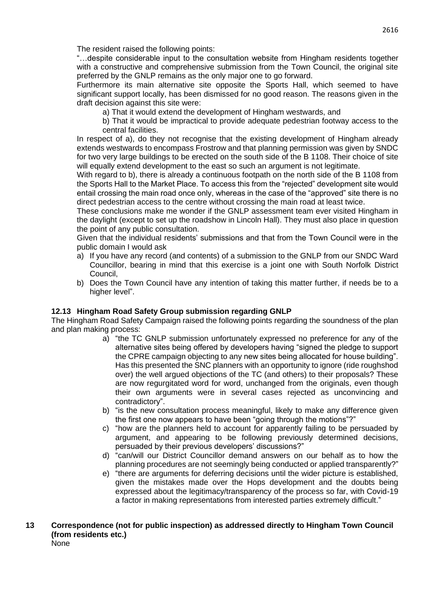The resident raised the following points:

"…despite considerable input to the consultation website from Hingham residents together with a constructive and comprehensive submission from the Town Council, the original site preferred by the GNLP remains as the only major one to go forward.

Furthermore its main alternative site opposite the Sports Hall, which seemed to have significant support locally, has been dismissed for no good reason. The reasons given in the draft decision against this site were:

- a) That it would extend the development of Hingham westwards, and
- b) That it would be impractical to provide adequate pedestrian footway access to the central facilities.

In respect of a), do they not recognise that the existing development of Hingham already extends westwards to encompass Frostrow and that planning permission was given by SNDC for two very large buildings to be erected on the south side of the B 1108. Their choice of site will equally extend development to the east so such an argument is not legitimate.

With regard to b), there is already a continuous footpath on the north side of the B 1108 from the Sports Hall to the Market Place. To access this from the "rejected" development site would entail crossing the main road once only, whereas in the case of the "approved" site there is no direct pedestrian access to the centre without crossing the main road at least twice.

These conclusions make me wonder if the GNLP assessment team ever visited Hingham in the daylight (except to set up the roadshow in Lincoln Hall). They must also place in question the point of any public consultation.

Given that the individual residents' submissions and that from the Town Council were in the public domain I would ask

- a) If you have any record (and contents) of a submission to the GNLP from our SNDC Ward Councillor, bearing in mind that this exercise is a joint one with South Norfolk District Council,
- b) Does the Town Council have any intention of taking this matter further, if needs be to a higher level".

# **12.13 Hingham Road Safety Group submission regarding GNLP**

The Hingham Road Safety Campaign raised the following points regarding the soundness of the plan and plan making process:

- a) "the TC GNLP submission unfortunately expressed no preference for any of the alternative sites being offered by developers having "signed the pledge to support the CPRE campaign objecting to any new sites being allocated for house building". Has this presented the SNC planners with an opportunity to ignore (ride roughshod over) the well argued objections of the TC (and others) to their proposals? These are now regurgitated word for word, unchanged from the originals, even though their own arguments were in several cases rejected as unconvincing and contradictory".
- b) "is the new consultation process meaningful, likely to make any difference given the first one now appears to have been "going through the motions"?"
- c) "how are the planners held to account for apparently failing to be persuaded by argument, and appearing to be following previously determined decisions, persuaded by their previous developers' discussions?"
- d) "can/will our District Councillor demand answers on our behalf as to how the planning procedures are not seemingly being conducted or applied transparently?"
- e) "there are arguments for deferring decisions until the wider picture is established, given the mistakes made over the Hops development and the doubts being expressed about the legitimacy/transparency of the process so far, with Covid-19 a factor in making representations from interested parties extremely difficult."
- **13 Correspondence (not for public inspection) as addressed directly to Hingham Town Council (from residents etc.)** None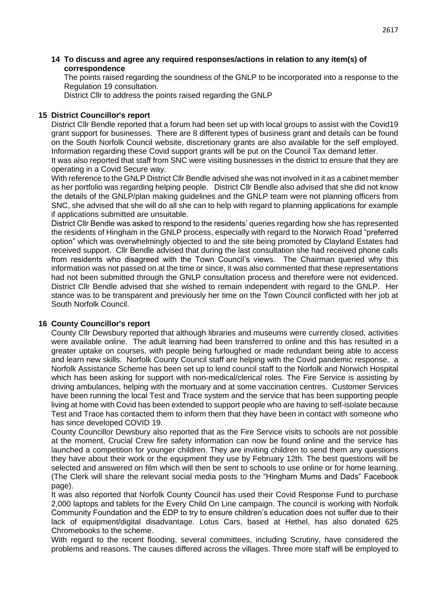### **14 To discuss and agree any required responses/actions in relation to any item(s) of correspondence**

The points raised regarding the soundness of the GNLP to be incorporated into a response to the Regulation 19 consultation.

District Cllr to address the points raised regarding the GNLP

### **15 District Councillor's report**

District Cllr Bendle reported that a forum had been set up with local groups to assist with the Covid19 grant support for businesses. There are 8 different types of business grant and details can be found on the South Norfolk Council website, discretionary grants are also available for the self employed. Information regarding these Covid support grants will be put on the Council Tax demand letter.

It was also reported that staff from SNC were visiting businesses in the district to ensure that they are operating in a Covid Secure way.

With reference to the GNLP District Cllr Bendle advised she was not involved in it as a cabinet member as her portfolio was regarding helping people. District Cllr Bendle also advised that she did not know the details of the GNLP/plan making guidelines and the GNLP team were not planning officers from SNC, she advised that she will do all she can to help with regard to planning applications for example if applications submitted are unsuitable.

District Cllr Bendle was asked to respond to the residents' queries regarding how she has represented the residents of Hingham in the GNLP process, especially with regard to the Norwich Road "preferred option" which was overwhelmingly objected to and the site being promoted by Clayland Estates had received support. Cllr Bendle advised that during the last consultation she had received phone calls from residents who disagreed with the Town Council's views. The Chairman queried why this information was not passed on at the time or since, it was also commented that these representations had not been submitted through the GNLP consultation process and therefore were not evidenced. District Cllr Bendle advised that she wished to remain independent with regard to the GNLP. Her stance was to be transparent and previously her time on the Town Council conflicted with her job at South Norfolk Council.

#### **16 County Councillor's report**

County Cllr Dewsbury reported that although libraries and museums were currently closed, activities were available online. The adult learning had been transferred to online and this has resulted in a greater uptake on courses, with people being furloughed or made redundant being able to access and learn new skills. Norfolk County Council staff are helping with the Covid pandemic response, a Norfolk Assistance Scheme has been set up to lend council staff to the Norfolk and Norwich Hospital which has been asking for support with non-medical/clerical roles. The Fire Service is assisting by driving ambulances, helping with the mortuary and at some vaccination centres. Customer Services have been running the local Test and Trace system and the service that has been supporting people living at home with Covid has been extended to support people who are having to self-isolate because Test and Trace has contacted them to inform them that they have been in contact with someone who has since developed COVID 19.

County Councillor Dewsbury also reported that as the Fire Service visits to schools are not possible at the moment, Crucial Crew fire safety information can now be found online and the service has launched a competition for younger children. They are inviting children to send them any questions they have about their work or the equipment they use by February 12th. The best questions will be selected and answered on film which will then be sent to schools to use online or for home learning. (The Clerk will share the relevant social media posts to the "Hingham Mums and Dads" Facebook page).

It was also reported that Norfolk County Council has used their Covid Response Fund to purchase 2,000 laptops and tablets for the Every Child On Line campaign. The council is working with Norfolk Community Foundation and the EDP to try to ensure children's education does not suffer due to their lack of equipment/digital disadvantage. Lotus Cars, based at Hethel, has also donated 625 Chromebooks to the scheme.

With regard to the recent flooding, several committees, including Scrutiny, have considered the problems and reasons. The causes differed across the villages. Three more staff will be employed to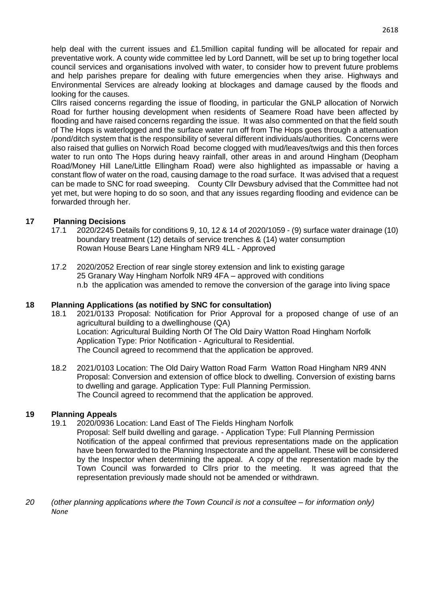help deal with the current issues and £1.5million capital funding will be allocated for repair and preventative work. A county wide committee led by Lord Dannett, will be set up to bring together local council services and organisations involved with water, to consider how to prevent future problems and help parishes prepare for dealing with future emergencies when they arise. Highways and Environmental Services are already looking at blockages and damage caused by the floods and looking for the causes.

Cllrs raised concerns regarding the issue of flooding, in particular the GNLP allocation of Norwich Road for further housing development when residents of Seamere Road have been affected by flooding and have raised concerns regarding the issue. It was also commented on that the field south of The Hops is waterlogged and the surface water run off from The Hops goes through a attenuation /pond/ditch system that is the responsibility of several different individuals/authorities. Concerns were also raised that gullies on Norwich Road become clogged with mud/leaves/twigs and this then forces water to run onto The Hops during heavy rainfall, other areas in and around Hingham (Deopham Road/Money Hill Lane/Little Ellingham Road) were also highlighted as impassable or having a constant flow of water on the road, causing damage to the road surface. It was advised that a request can be made to SNC for road sweeping. County Cllr Dewsbury advised that the Committee had not yet met, but were hoping to do so soon, and that any issues regarding flooding and evidence can be forwarded through her.

## **17 Planning Decisions**

- 17.1 2020/2245 Details for conditions 9, 10, 12 & 14 of 2020/1059 (9) surface water drainage (10) boundary treatment (12) details of service trenches & (14) water consumption Rowan House Bears Lane Hingham NR9 4LL - Approved
- 17.2 2020/2052 Erection of rear single storey extension and link to existing garage 25 Granary Way Hingham Norfolk NR9 4FA – approved with conditions n.b the application was amended to remove the conversion of the garage into living space

## **18 Planning Applications (as notified by SNC for consultation)**

- 18.1 2021/0133 Proposal: Notification for Prior Approval for a proposed change of use of an agricultural building to a dwellinghouse (QA) Location: Agricultural Building North Of The Old Dairy Watton Road Hingham Norfolk Application Type: Prior Notification - Agricultural to Residential. The Council agreed to recommend that the application be approved.
- 18.2 2021/0103 Location: The Old Dairy Watton Road Farm Watton Road Hingham NR9 4NN Proposal: Conversion and extension of office block to dwelling. Conversion of existing barns to dwelling and garage. Application Type: Full Planning Permission. The Council agreed to recommend that the application be approved.

## **19 Planning Appeals**

- 19.1 2020/0936 Location: Land East of The Fields Hingham Norfolk
	- Proposal: Self build dwelling and garage. Application Type: Full Planning Permission Notification of the appeal confirmed that previous representations made on the application have been forwarded to the Planning Inspectorate and the appellant. These will be considered by the Inspector when determining the appeal. A copy of the representation made by the Town Council was forwarded to Cllrs prior to the meeting. It was agreed that the representation previously made should not be amended or withdrawn.
- *20 (other planning applications where the Town Council is not a consultee – for information only) None*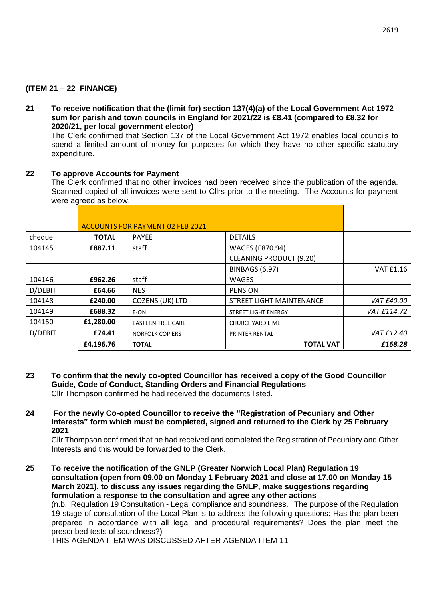## **(ITEM 21 – 22 FINANCE)**

**21 To receive notification that the (limit for) section 137(4)(a) of the Local Government Act 1972 sum for parish and town councils in England for 2021/22 is £8.41 (compared to £8.32 for 2020/21, per local government elector)**

The Clerk confirmed that Section 137 of the Local Government Act 1972 enables local councils to spend a limited amount of money for purposes for which they have no other specific statutory expenditure.

### **22 To approve Accounts for Payment**

The Clerk confirmed that no other invoices had been received since the publication of the agenda. Scanned copied of all invoices were sent to Cllrs prior to the meeting. The Accounts for payment were agreed as below.

|         |              | <b>ACCOUNTS FOR PAYMENT 02 FEB 2021</b> |                                |             |
|---------|--------------|-----------------------------------------|--------------------------------|-------------|
| cheque  | <b>TOTAL</b> | <b>PAYEE</b>                            | <b>DETAILS</b>                 |             |
| 104145  | £887.11      | staff                                   | WAGES (£870.94)                |             |
|         |              |                                         | <b>CLEANING PRODUCT (9.20)</b> |             |
|         |              |                                         | <b>BINBAGS (6.97)</b>          | VAT £1.16   |
| 104146  | £962.26      | staff                                   | <b>WAGES</b>                   |             |
| D/DEBIT | £64.66       | <b>NEST</b>                             | <b>PENSION</b>                 |             |
| 104148  | £240.00      | COZENS (UK) LTD                         | STREET LIGHT MAINTENANCE       | VAT £40.00  |
| 104149  | £688.32      | E-ON                                    | <b>STREET LIGHT ENERGY</b>     | VAT £114.72 |
| 104150  | £1,280.00    | <b>EASTERN TREE CARE</b>                | <b>CHURCHYARD LIME</b>         |             |
| D/DEBIT | £74.41       | <b>NORFOLK COPIERS</b>                  | <b>PRINTER RENTAL</b>          | VAT £12.40  |
|         | £4,196.76    | <b>TOTAL</b>                            | <b>TOTAL VAT</b>               | £168.28     |

- **23 To confirm that the newly co-opted Councillor has received a copy of the Good Councillor Guide, Code of Conduct, Standing Orders and Financial Regulations** Cllr Thompson confirmed he had received the documents listed.
- **24 For the newly Co-opted Councillor to receive the "Registration of Pecuniary and Other Interests" form which must be completed, signed and returned to the Clerk by 25 February 2021**

Cllr Thompson confirmed that he had received and completed the Registration of Pecuniary and Other Interests and this would be forwarded to the Clerk.

**25 To receive the notification of the GNLP (Greater Norwich Local Plan) Regulation 19 consultation (open from 09.00 on Monday 1 February 2021 and close at 17.00 on Monday 15 March 2021), to discuss any issues regarding the GNLP, make suggestions regarding formulation a response to the consultation and agree any other actions**

(n.b. Regulation 19 Consultation - Legal compliance and soundness. The purpose of the Regulation 19 stage of consultation of the Local Plan is to address the following questions: Has the plan been prepared in accordance with all legal and procedural requirements? Does the plan meet the prescribed tests of soundness?)

THIS AGENDA ITEM WAS DISCUSSED AFTER AGENDA ITEM 11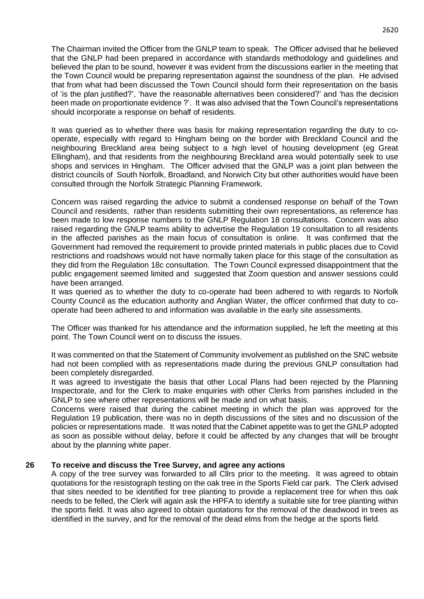The Chairman invited the Officer from the GNLP team to speak. The Officer advised that he believed that the GNLP had been prepared in accordance with standards methodology and guidelines and believed the plan to be sound, however it was evident from the discussions earlier in the meeting that the Town Council would be preparing representation against the soundness of the plan. He advised that from what had been discussed the Town Council should form their representation on the basis of 'is the plan justified?', 'have the reasonable alternatives been considered?' and 'has the decision been made on proportionate evidence ?'. It was also advised that the Town Council's representations should incorporate a response on behalf of residents.

It was queried as to whether there was basis for making representation regarding the duty to cooperate, especially with regard to Hingham being on the border with Breckland Council and the neighbouring Breckland area being subject to a high level of housing development (eg Great Ellingham), and that residents from the neighbouring Breckland area would potentially seek to use shops and services in Hingham. The Officer advised that the GNLP was a joint plan between the district councils of South Norfolk, Broadland, and Norwich City but other authorities would have been consulted through the Norfolk Strategic Planning Framework.

Concern was raised regarding the advice to submit a condensed response on behalf of the Town Council and residents, rather than residents submitting their own representations, as reference has been made to low response numbers to the GNLP Regulation 18 consultations. Concern was also raised regarding the GNLP teams ability to advertise the Regulation 19 consultation to all residents in the affected parishes as the main focus of consultation is online. It was confirmed that the Government had removed the requirement to provide printed materials in public places due to Covid restrictions and roadshows would not have normally taken place for this stage of the consultation as they did from the Regulation 18c consultation. The Town Council expressed disappointment that the public engagement seemed limited and suggested that Zoom question and answer sessions could have been arranged.

It was queried as to whether the duty to co-operate had been adhered to with regards to Norfolk County Council as the education authority and Anglian Water, the officer confirmed that duty to cooperate had been adhered to and information was available in the early site assessments.

The Officer was thanked for his attendance and the information supplied, he left the meeting at this point. The Town Council went on to discuss the issues.

It was commented on that the Statement of Community involvement as published on the SNC website had not been complied with as representations made during the previous GNLP consultation had been completely disregarded.

It was agreed to investigate the basis that other Local Plans had been rejected by the Planning Inspectorate, and for the Clerk to make enquiries with other Clerks from parishes included in the GNLP to see where other representations will be made and on what basis.

Concerns were raised that during the cabinet meeting in which the plan was approved for the Regulation 19 publication, there was no in depth discussions of the sites and no discussion of the policies or representations made. It was noted that the Cabinet appetite was to get the GNLP adopted as soon as possible without delay, before it could be affected by any changes that will be brought about by the planning white paper.

#### **26 To receive and discuss the Tree Survey, and agree any actions**

A copy of the tree survey was forwarded to all Cllrs prior to the meeting. It was agreed to obtain quotations for the resistograph testing on the oak tree in the Sports Field car park. The Clerk advised that sites needed to be identified for tree planting to provide a replacement tree for when this oak needs to be felled, the Clerk will again ask the HPFA to identify a suitable site for tree planting within the sports field. It was also agreed to obtain quotations for the removal of the deadwood in trees as identified in the survey, and for the removal of the dead elms from the hedge at the sports field.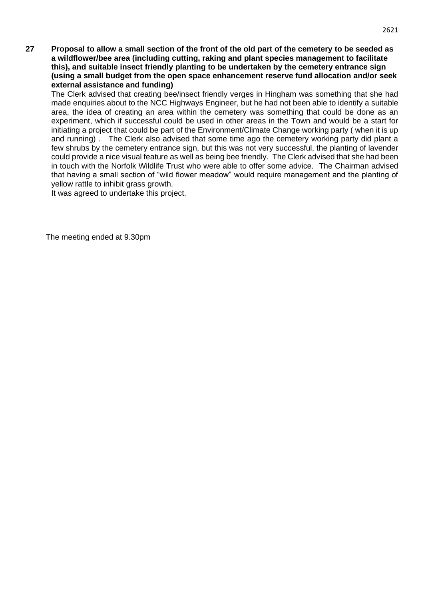**27 Proposal to allow a small section of the front of the old part of the cemetery to be seeded as a wildflower/bee area (including cutting, raking and plant species management to facilitate this), and suitable insect friendly planting to be undertaken by the cemetery entrance sign (using a small budget from the open space enhancement reserve fund allocation and/or seek external assistance and funding)**

The Clerk advised that creating bee/insect friendly verges in Hingham was something that she had made enquiries about to the NCC Highways Engineer, but he had not been able to identify a suitable area, the idea of creating an area within the cemetery was something that could be done as an experiment, which if successful could be used in other areas in the Town and would be a start for initiating a project that could be part of the Environment/Climate Change working party ( when it is up and running) . The Clerk also advised that some time ago the cemetery working party did plant a few shrubs by the cemetery entrance sign, but this was not very successful, the planting of lavender could provide a nice visual feature as well as being bee friendly. The Clerk advised that she had been in touch with the Norfolk Wildlife Trust who were able to offer some advice. The Chairman advised that having a small section of "wild flower meadow" would require management and the planting of yellow rattle to inhibit grass growth.

It was agreed to undertake this project.

The meeting ended at 9.30pm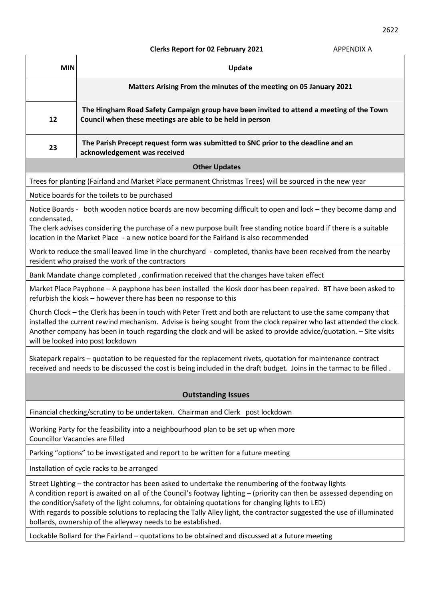# **Clerks Report for 02 February 2021** APPENDIX A

| <b>MIN</b>                                                                                                                                                                                                                                                                                                                                                                                                                                                                                                              | Update                                                                                                                                                |  |  |  |
|-------------------------------------------------------------------------------------------------------------------------------------------------------------------------------------------------------------------------------------------------------------------------------------------------------------------------------------------------------------------------------------------------------------------------------------------------------------------------------------------------------------------------|-------------------------------------------------------------------------------------------------------------------------------------------------------|--|--|--|
|                                                                                                                                                                                                                                                                                                                                                                                                                                                                                                                         | Matters Arising From the minutes of the meeting on 05 January 2021                                                                                    |  |  |  |
| 12                                                                                                                                                                                                                                                                                                                                                                                                                                                                                                                      | The Hingham Road Safety Campaign group have been invited to attend a meeting of the Town<br>Council when these meetings are able to be held in person |  |  |  |
| 23                                                                                                                                                                                                                                                                                                                                                                                                                                                                                                                      | The Parish Precept request form was submitted to SNC prior to the deadline and an<br>acknowledgement was received                                     |  |  |  |
| <b>Other Updates</b>                                                                                                                                                                                                                                                                                                                                                                                                                                                                                                    |                                                                                                                                                       |  |  |  |
| Trees for planting (Fairland and Market Place permanent Christmas Trees) will be sourced in the new year                                                                                                                                                                                                                                                                                                                                                                                                                |                                                                                                                                                       |  |  |  |
| Notice boards for the toilets to be purchased                                                                                                                                                                                                                                                                                                                                                                                                                                                                           |                                                                                                                                                       |  |  |  |
| Notice Boards - both wooden notice boards are now becoming difficult to open and lock - they become damp and<br>condensated.                                                                                                                                                                                                                                                                                                                                                                                            |                                                                                                                                                       |  |  |  |
| The clerk advises considering the purchase of a new purpose built free standing notice board if there is a suitable<br>location in the Market Place - a new notice board for the Fairland is also recommended                                                                                                                                                                                                                                                                                                           |                                                                                                                                                       |  |  |  |
| Work to reduce the small leaved lime in the churchyard - completed, thanks have been received from the nearby<br>resident who praised the work of the contractors                                                                                                                                                                                                                                                                                                                                                       |                                                                                                                                                       |  |  |  |
| Bank Mandate change completed, confirmation received that the changes have taken effect                                                                                                                                                                                                                                                                                                                                                                                                                                 |                                                                                                                                                       |  |  |  |
| Market Place Payphone - A payphone has been installed the kiosk door has been repaired. BT have been asked to<br>refurbish the kiosk - however there has been no response to this                                                                                                                                                                                                                                                                                                                                       |                                                                                                                                                       |  |  |  |
| Church Clock – the Clerk has been in touch with Peter Trett and both are reluctant to use the same company that<br>installed the current rewind mechanism. Advise is being sought from the clock repairer who last attended the clock.<br>Another company has been in touch regarding the clock and will be asked to provide advice/quotation. - Site visits<br>will be looked into post lockdown                                                                                                                       |                                                                                                                                                       |  |  |  |
| Skatepark repairs – quotation to be requested for the replacement rivets, quotation for maintenance contract<br>received and needs to be discussed the cost is being included in the draft budget. Joins in the tarmac to be filled.                                                                                                                                                                                                                                                                                    |                                                                                                                                                       |  |  |  |
| <b>Outstanding Issues</b>                                                                                                                                                                                                                                                                                                                                                                                                                                                                                               |                                                                                                                                                       |  |  |  |
|                                                                                                                                                                                                                                                                                                                                                                                                                                                                                                                         | Financial checking/scrutiny to be undertaken. Chairman and Clerk post lockdown                                                                        |  |  |  |
| Working Party for the feasibility into a neighbourhood plan to be set up when more<br><b>Councillor Vacancies are filled</b>                                                                                                                                                                                                                                                                                                                                                                                            |                                                                                                                                                       |  |  |  |
| Parking "options" to be investigated and report to be written for a future meeting                                                                                                                                                                                                                                                                                                                                                                                                                                      |                                                                                                                                                       |  |  |  |
| Installation of cycle racks to be arranged                                                                                                                                                                                                                                                                                                                                                                                                                                                                              |                                                                                                                                                       |  |  |  |
| Street Lighting - the contractor has been asked to undertake the renumbering of the footway lights<br>A condition report is awaited on all of the Council's footway lighting - (priority can then be assessed depending on<br>the condition/safety of the light columns, for obtaining quotations for changing lights to LED)<br>With regards to possible solutions to replacing the Tally Alley light, the contractor suggested the use of illuminated<br>bollards, ownership of the alleyway needs to be established. |                                                                                                                                                       |  |  |  |
| Lockable Bollard for the Fairland - quotations to be obtained and discussed at a future meeting                                                                                                                                                                                                                                                                                                                                                                                                                         |                                                                                                                                                       |  |  |  |
|                                                                                                                                                                                                                                                                                                                                                                                                                                                                                                                         |                                                                                                                                                       |  |  |  |